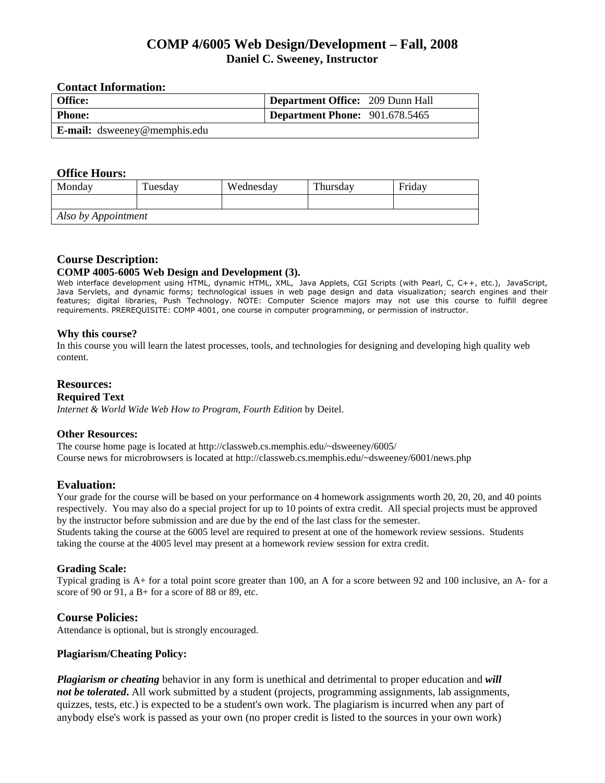# **COMP 4/6005 Web Design/Development – Fall, 2008 Daniel C. Sweeney, Instructor**

# **Contact Information:**

| <b>Office:</b>                      | Department Office: 209 Dunn Hall |
|-------------------------------------|----------------------------------|
| <b>Phone:</b>                       | Department Phone: 901.678.5465   |
| <b>E-mail:</b> dsweeney@memphis.edu |                                  |

#### **Office Hours:**

| Monday              | Tuesday | Wednesday | Thursday | Friday |  |  |  |
|---------------------|---------|-----------|----------|--------|--|--|--|
|                     |         |           |          |        |  |  |  |
| Also by Appointment |         |           |          |        |  |  |  |

# **Course Description:**

## **COMP 4005-6005 Web Design and Development (3).**

Web interface development using HTML, dynamic HTML, XML, Java Applets, CGI Scripts (with Pearl, C, C++, etc.), JavaScript, Java Servlets, and dynamic forms; technological issues in web page design and data visualization; search engines and their features; digital libraries, Push Technology. NOTE: Computer Science majors may not use this course to fulfill degree requirements. PREREQUISITE: COMP 4001, one course in computer programming, or permission of instructor.

## **Why this course?**

In this course you will learn the latest processes, tools, and technologies for designing and developing high quality web content.

## **Resources:**

#### **Required Text**

*Internet & World Wide Web How to Program, Fourth Edition* by Deitel.

#### **Other Resources:**

The course home page is located at http://classweb.cs.memphis.edu/~dsweeney/6005/ Course news for microbrowsers is located at http://classweb.cs.memphis.edu/~dsweeney/6001/news.php

# **Evaluation:**

Your grade for the course will be based on your performance on 4 homework assignments worth 20, 20, 20, and 40 points respectively. You may also do a special project for up to 10 points of extra credit. All special projects must be approved by the instructor before submission and are due by the end of the last class for the semester.

Students taking the course at the 6005 level are required to present at one of the homework review sessions. Students taking the course at the 4005 level may present at a homework review session for extra credit.

#### **Grading Scale:**

Typical grading is A+ for a total point score greater than 100, an A for a score between 92 and 100 inclusive, an A- for a score of 90 or 91, a B+ for a score of 88 or 89, etc.

#### **Course Policies:**

Attendance is optional, but is strongly encouraged.

#### **Plagiarism/Cheating Policy:**

*Plagiarism or cheating* behavior in any form is unethical and detrimental to proper education and *will*  not be tolerated. All work submitted by a student (projects, programming assignments, lab assignments, quizzes, tests, etc.) is expected to be a student's own work. The plagiarism is incurred when any part of anybody else's work is passed as your own (no proper credit is listed to the sources in your own work)